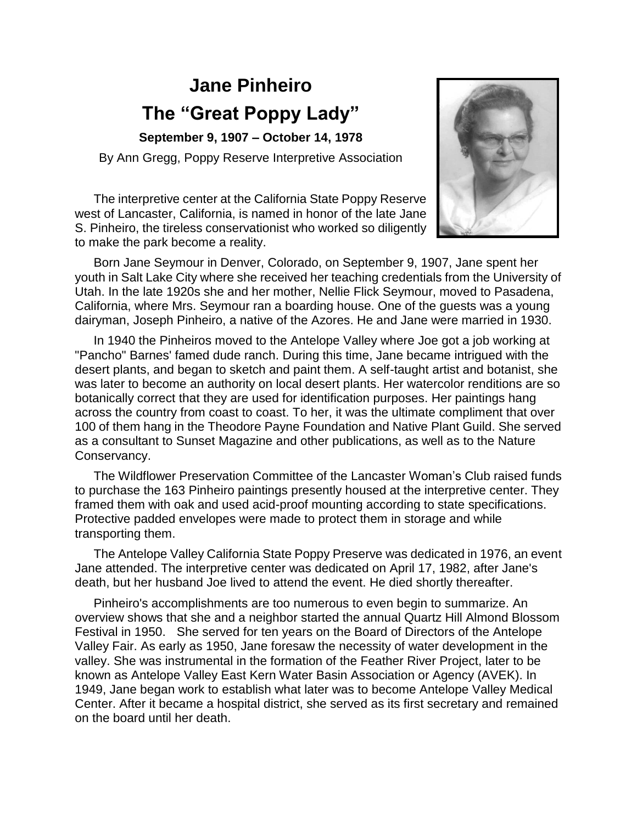## **Jane Pinheiro The "Great Poppy Lady"**

**September 9, 1907 – October 14, 1978**

By Ann Gregg, Poppy Reserve Interpretive Association

The interpretive center at the California State Poppy Reserve west of Lancaster, California, is named in honor of the late Jane S. Pinheiro, the tireless conservationist who worked so diligently to make the park become a reality.



Born Jane Seymour in Denver, Colorado, on September 9, 1907, Jane spent her youth in Salt Lake City where she received her teaching credentials from the University of Utah. In the late 1920s she and her mother, Nellie Flick Seymour, moved to Pasadena, California, where Mrs. Seymour ran a boarding house. One of the guests was a young dairyman, Joseph Pinheiro, a native of the Azores. He and Jane were married in 1930.

In 1940 the Pinheiros moved to the Antelope Valley where Joe got a job working at "Pancho" Barnes' famed dude ranch. During this time, Jane became intrigued with the desert plants, and began to sketch and paint them. A self-taught artist and botanist, she was later to become an authority on local desert plants. Her watercolor renditions are so botanically correct that they are used for identification purposes. Her paintings hang across the country from coast to coast. To her, it was the ultimate compliment that over 100 of them hang in the Theodore Payne Foundation and Native Plant Guild. She served as a consultant to Sunset Magazine and other publications, as well as to the Nature Conservancy.

The Wildflower Preservation Committee of the Lancaster Woman's Club raised funds to purchase the 163 Pinheiro paintings presently housed at the interpretive center. They framed them with oak and used acid-proof mounting according to state specifications. Protective padded envelopes were made to protect them in storage and while transporting them.

The Antelope Valley California State Poppy Preserve was dedicated in 1976, an event Jane attended. The interpretive center was dedicated on April 17, 1982, after Jane's death, but her husband Joe lived to attend the event. He died shortly thereafter.

Pinheiro's accomplishments are too numerous to even begin to summarize. An overview shows that she and a neighbor started the annual Quartz Hill Almond Blossom Festival in 1950. She served for ten years on the Board of Directors of the Antelope Valley Fair. As early as 1950, Jane foresaw the necessity of water development in the valley. She was instrumental in the formation of the Feather River Project, later to be known as Antelope Valley East Kern Water Basin Association or Agency (AVEK). In 1949, Jane began work to establish what later was to become Antelope Valley Medical Center. After it became a hospital district, she served as its first secretary and remained on the board until her death.